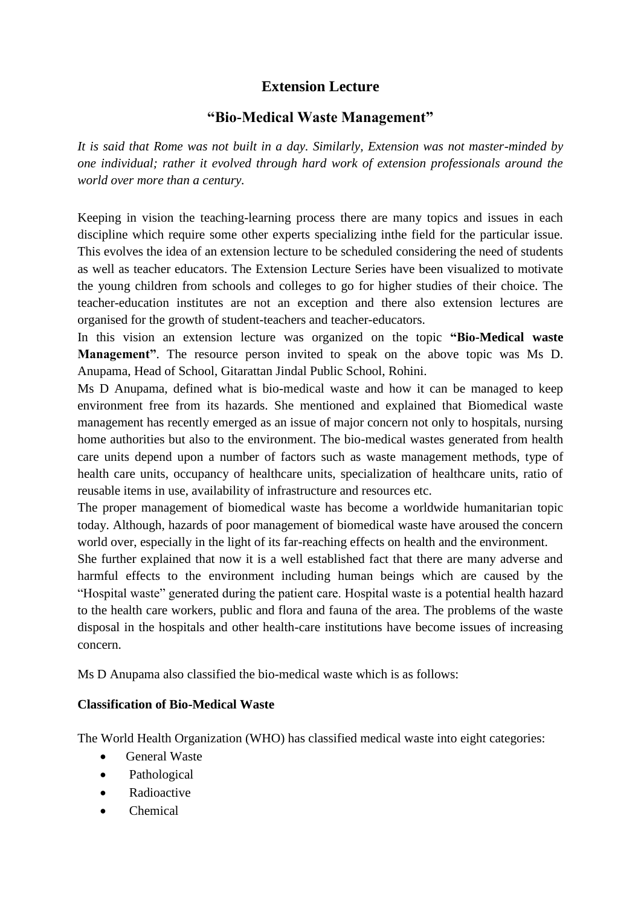# **Extension Lecture**

# **"Bio-Medical Waste Management"**

*It is said that Rome was not built in a day. Similarly, Extension was not master-minded by one individual; rather it evolved through hard work of extension professionals around the world over more than a century.*

Keeping in vision the teaching-learning process there are many topics and issues in each discipline which require some other experts specializing inthe field for the particular issue. This evolves the idea of an extension lecture to be scheduled considering the need of students as well as teacher educators. The Extension Lecture Series have been visualized to motivate the young children from schools and colleges to go for higher studies of their choice. The teacher-education institutes are not an exception and there also extension lectures are organised for the growth of student-teachers and teacher-educators.

In this vision an extension lecture was organized on the topic **"Bio-Medical waste Management"**. The resource person invited to speak on the above topic was Ms D. Anupama, Head of School, Gitarattan Jindal Public School, Rohini.

Ms D Anupama, defined what is bio-medical waste and how it can be managed to keep environment free from its hazards. She mentioned and explained that Biomedical waste management has recently emerged as an issue of major concern not only to hospitals, nursing home authorities but also to the environment. The bio-medical wastes generated from health care units depend upon a number of factors such as waste management methods, type of health care units, occupancy of healthcare units, specialization of healthcare units, ratio of reusable items in use, availability of infrastructure and resources etc.

The proper management of biomedical waste has become a worldwide humanitarian topic today. Although, hazards of poor management of biomedical waste have aroused the concern world over, especially in the light of its far-reaching effects on health and the environment.

She further explained that now it is a well established fact that there are many adverse and harmful effects to the environment including human beings which are caused by the "Hospital waste" generated during the patient care. Hospital waste is a potential health hazard to the health care workers, public and flora and fauna of the area. The problems of the waste disposal in the hospitals and other health-care institutions have become issues of increasing concern.

Ms D Anupama also classified the bio-medical waste which is as follows:

## **Classification of Bio-Medical Waste**

The World Health Organization (WHO) has classified medical waste into eight categories:

- General Waste
- Pathological
- Radioactive
- Chemical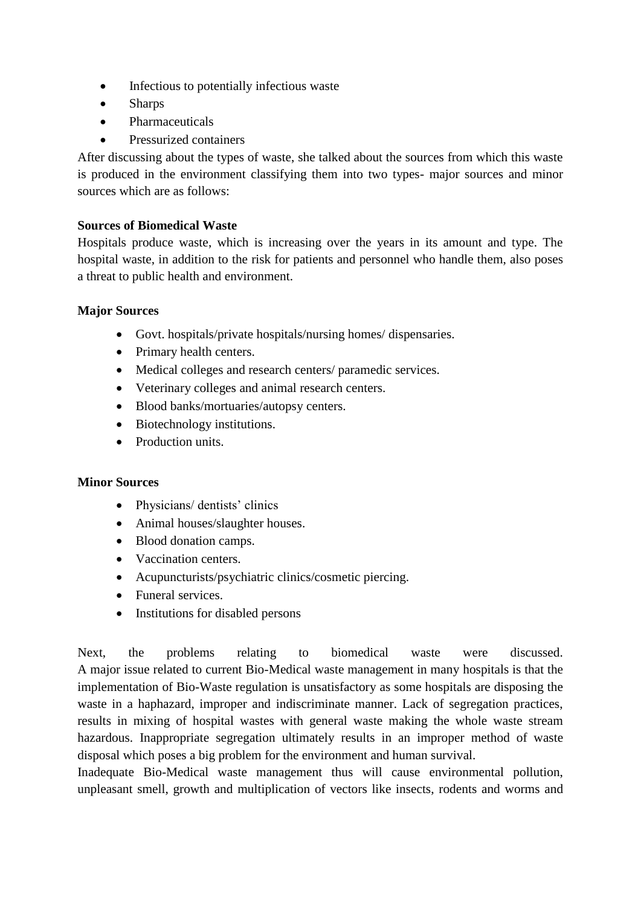- Infectious to potentially infectious waste
- Sharps
- Pharmaceuticals
- Pressurized containers

After discussing about the types of waste, she talked about the sources from which this waste is produced in the environment classifying them into two types- major sources and minor sources which are as follows:

### **Sources of Biomedical Waste**

Hospitals produce waste, which is increasing over the years in its amount and type. The hospital waste, in addition to the risk for patients and personnel who handle them, also poses a threat to public health and environment.

### **Major Sources**

- Govt. hospitals/private hospitals/nursing homes/ dispensaries.
- Primary health centers.
- Medical colleges and research centers/ paramedic services.
- Veterinary colleges and animal research centers.
- Blood banks/mortuaries/autopsy centers.
- Biotechnology institutions.
- Production units.

#### **Minor Sources**

- Physicians/ dentists' clinics
- Animal houses/slaughter houses.
- Blood donation camps.
- Vaccination centers.
- Acupuncturists/psychiatric clinics/cosmetic piercing.
- Funeral services.
- Institutions for disabled persons

Next, the problems relating to biomedical waste were discussed. A major issue related to current Bio-Medical waste management in many hospitals is that the implementation of Bio-Waste regulation is unsatisfactory as some hospitals are disposing the waste in a haphazard, improper and indiscriminate manner. Lack of segregation practices, results in mixing of hospital wastes with general waste making the whole waste stream hazardous. Inappropriate segregation ultimately results in an improper method of waste disposal which poses a big problem for the environment and human survival.

Inadequate Bio-Medical waste management thus will cause environmental pollution, unpleasant smell, growth and multiplication of vectors like insects, rodents and worms and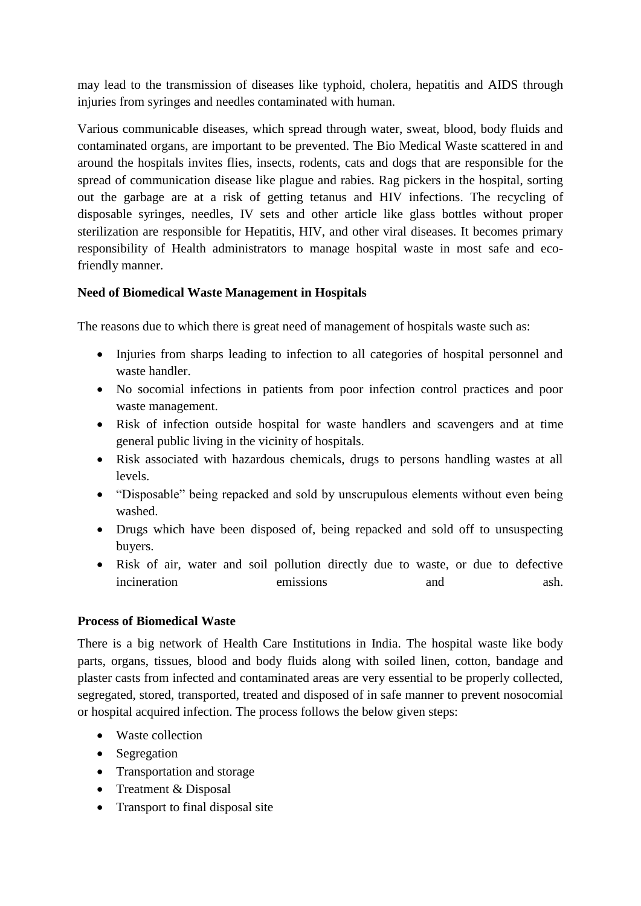may lead to the transmission of diseases like typhoid, cholera, hepatitis and AIDS through injuries from syringes and needles contaminated with human.

Various communicable diseases, which spread through water, sweat, blood, body fluids and contaminated organs, are important to be prevented. The Bio Medical Waste scattered in and around the hospitals invites flies, insects, rodents, cats and dogs that are responsible for the spread of communication disease like plague and rabies. Rag pickers in the hospital, sorting out the garbage are at a risk of getting tetanus and HIV infections. The recycling of disposable syringes, needles, IV sets and other article like glass bottles without proper sterilization are responsible for Hepatitis, HIV, and other viral diseases. It becomes primary responsibility of Health administrators to manage hospital waste in most safe and ecofriendly manner.

## **Need of Biomedical Waste Management in Hospitals**

The reasons due to which there is great need of management of hospitals waste such as:

- Injuries from sharps leading to infection to all categories of hospital personnel and waste handler.
- No socomial infections in patients from poor infection control practices and poor waste management.
- Risk of infection outside hospital for waste handlers and scavengers and at time general public living in the vicinity of hospitals.
- Risk associated with hazardous chemicals, drugs to persons handling wastes at all levels.
- "Disposable" being repacked and sold by unscrupulous elements without even being washed.
- Drugs which have been disposed of, being repacked and sold off to unsuspecting buyers.
- Risk of air, water and soil pollution directly due to waste, or due to defective incineration emissions and ash.

## **Process of Biomedical Waste**

There is a big network of Health Care Institutions in India. The hospital waste like body parts, organs, tissues, blood and body fluids along with soiled linen, cotton, bandage and plaster casts from infected and contaminated areas are very essential to be properly collected, segregated, stored, transported, treated and disposed of in safe manner to prevent nosocomial or hospital acquired infection. The process follows the below given steps:

- Waste collection
- Segregation
- Transportation and storage
- Treatment & Disposal
- Transport to final disposal site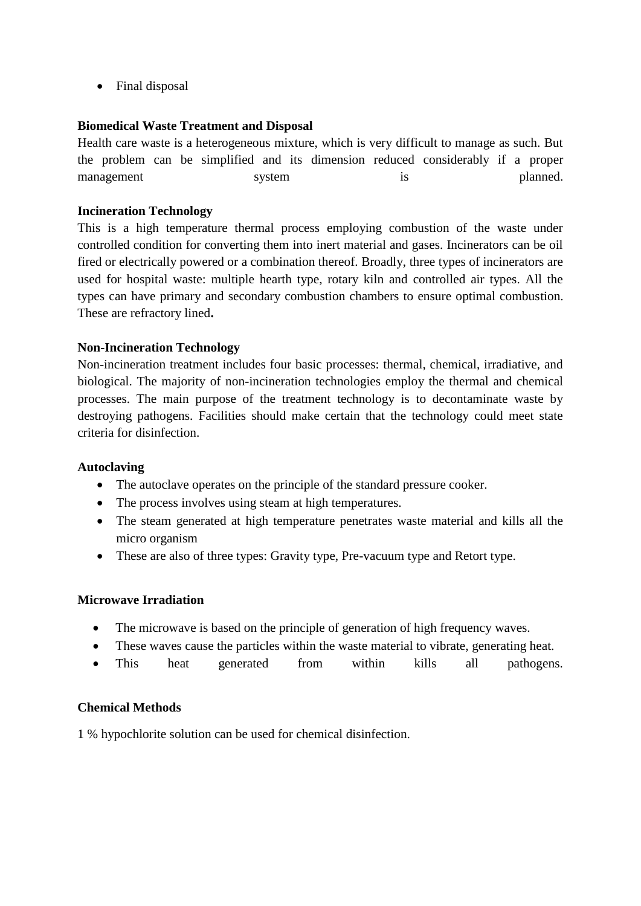• Final disposal

## **Biomedical Waste Treatment and Disposal**

Health care waste is a heterogeneous mixture, which is very difficult to manage as such. But the problem can be simplified and its dimension reduced considerably if a proper management system is planned.

### **Incineration Technology**

This is a high temperature thermal process employing combustion of the waste under controlled condition for converting them into inert material and gases. Incinerators can be oil fired or electrically powered or a combination thereof. Broadly, three types of incinerators are used for hospital waste: multiple hearth type, rotary kiln and controlled air types. All the types can have primary and secondary combustion chambers to ensure optimal combustion. These are refractory lined**.**

### **Non-Incineration Technology**

Non-incineration treatment includes four basic processes: thermal, chemical, irradiative, and biological. The majority of non-incineration technologies employ the thermal and chemical processes. The main purpose of the treatment technology is to decontaminate waste by destroying pathogens. Facilities should make certain that the technology could meet state criteria for disinfection.

#### **Autoclaving**

- The autoclave operates on the principle of the standard pressure cooker.
- The process involves using steam at high temperatures.
- The steam generated at high temperature penetrates waste material and kills all the micro organism
- These are also of three types: Gravity type, Pre-vacuum type and Retort type.

#### **Microwave Irradiation**

- The microwave is based on the principle of generation of high frequency waves.
- These waves cause the particles within the waste material to vibrate, generating heat.
- This heat generated from within kills all pathogens.

#### **Chemical Methods**

1 % hypochlorite solution can be used for chemical disinfection.